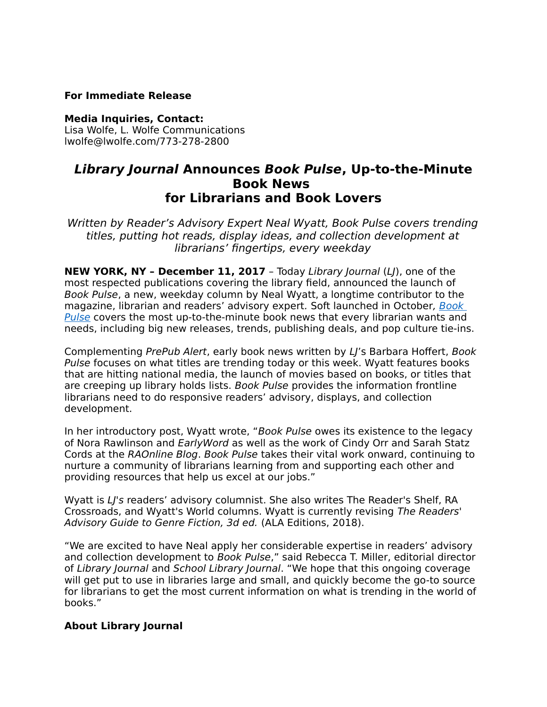## **For Immediate Release**

**Media Inquiries, Contact:**  Lisa Wolfe, L. Wolfe Communications lwolfe@lwolfe.com/773-278-2800

## **Library Journal Announces Book Pulse, Up-to-the-Minute Book News for Librarians and Book Lovers**

Written by Reader's Advisory Expert Neal Wyatt, Book Pulse covers trending titles, putting hot reads, display ideas, and collection development at librarians' fingertips, every weekday

**NEW YORK, NY - December 11, 2017** - Today Library Journal (LJ), one of the most respected publications covering the library field, announced the launch of Book Pulse, a new, weekday column by Neal Wyatt, a longtime contributor to the magazine, librarian and readers' advisory expert. Soft launched in October, [Book](http://reviews.libraryjournal.com/category/collection-development/book-pulse/)  [Pulse](http://reviews.libraryjournal.com/category/collection-development/book-pulse/) covers the most up-to-the-minute book news that every librarian wants and needs, including big new releases, trends, publishing deals, and pop culture tie-ins.

Complementing PrePub Alert, early book news written by LJ's Barbara Hoffert, Book Pulse focuses on what titles are trending today or this week. Wyatt features books that are hitting national media, the launch of movies based on books, or titles that are creeping up library holds lists. Book Pulse provides the information frontline librarians need to do responsive readers' advisory, displays, and collection development.

In her introductory post, Wyatt wrote, "Book Pulse owes its existence to the legacy of Nora Rawlinson and EarlyWord as well as the work of Cindy Orr and Sarah Statz Cords at the RAOnline Blog. Book Pulse takes their vital work onward, continuing to nurture a community of librarians learning from and supporting each other and providing resources that help us excel at our jobs."

Wyatt is LI's readers' advisory columnist. She also writes The Reader's Shelf, RA Crossroads, and Wyatt's World columns. Wyatt is currently revising The Readers' Advisory Guide to Genre Fiction, 3d ed. (ALA Editions, 2018).

"We are excited to have Neal apply her considerable expertise in readers' advisory and collection development to Book Pulse," said Rebecca T. Miller, editorial director of Library Journal and School Library Journal. "We hope that this ongoing coverage will get put to use in libraries large and small, and quickly become the go-to source for librarians to get the most current information on what is trending in the world of books."

## **About Library Journal**